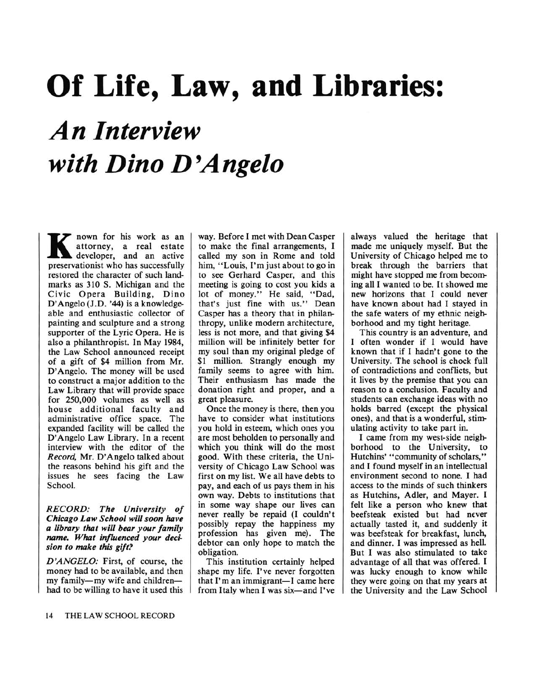## Of Life, Law, and Libraries: An Interview with Dino D'Angelo

**K** attorney, a real estate nown for his work as an attorney, a real estate preservationist who has successfully restored the character of such landmarks as 310 S. Michigan and the Civic Opera Building, Dino D'Angelo (J.D. '44) is <sup>a</sup> knowledgeable and enthusiastic collector of painting and sculpture and a strong supporter of the Lyric Opera. He is also <sup>a</sup> philanthropist. In May 1984, the Law School announced receipt of <sup>a</sup> gift of \$4 million from Mr. D'Angelo. The money will be used to construct a major addition to the Law Library that will provide space for 250,000 volumes as well as house additional faculty and administrative office space. The expanded facility will be called the D'Angelo Law Library. In <sup>a</sup> recent interview with the editor of the Record, Mr. D'Angelo talked about the reasons behind his gift and the issues he sees facing the Law School.

## RECORD: The University of Chicago Law School will soon have <sup>a</sup> library that will bear your family name. What influenced your decision to make this gift?

D'ANGELO: First, of course, the money had to be available, and then my family-my wife and childrenhad to be willing to have it used this

way. Before I met with Dean Casper to make the final arrangements, I called my son in Rome and told him, "Louis, I'm just about to go in to see Gerhard Casper, and this meeting is going to cost you kids <sup>a</sup> lot of money." He said, "Dad, that's just fine with us." Dean Casper has <sup>a</sup> theory that in philanthropy, unlike modern architecture, less is not more, and that giving \$4 million will be infinitely better for my soul than my original pledge of \$1 million. <sup>S</sup>trangly enough my family seems to agree with him. Their enthusiasm has made the donation right and proper, and a great pleasure.

Once the money is there, then you have to consider what institutions you hold in esteem, which ones you are most beholden to personally and which you think will do the most good. With these criteria, the University of Chicago Law School was first on my list. We all have debts to pay, and each of us pays them in his own way. Debts to institutions that in some way shape our lives can never really be repaid (I couldn't possibly repay the happiness my profession has given me). The debtor can only hope to match the obligation.

This institution certainly helped shape my life. I've never forgotten that  $I'm$  an immigrant-I came here from Italy when I was six-and I've

always valued the heritage that made me uniquely myself. But the University of Chicago helped me to break through the barriers that might have stopped me from becoming all I wanted to be. It showed me new horizons that I could never have known about had I stayed in the safe waters of my ethnic neighborhood and my tight heritage.

This country is an adventure, and I often wonder if I would have known that if I hadn't gone to the University. The school is chock full of contradictions and conflicts, but it lives by the premise that you can reason to a conclusion. Faculty and students can exchange ideas with no holds barred (except the physical ones), and that is a wonderful, stimulating activity to take part in.

I came from my west-side neighborhood to the University, to Hutchins' "community of scholars," and I found myself in an intellectual environment second to none. I had access to the minds of such thinkers as Hutchins, Adler, and Mayer. I felt like a person who knew that beefsteak existed but had never actually tasted it, and suddenly it was beefsteak for breakfast, lunch, and dinner. I was impressed as hell. But I was also stimulated to take advantage of all that was offered. I was lucky enough to know while they were going on that my years at the University and the Law School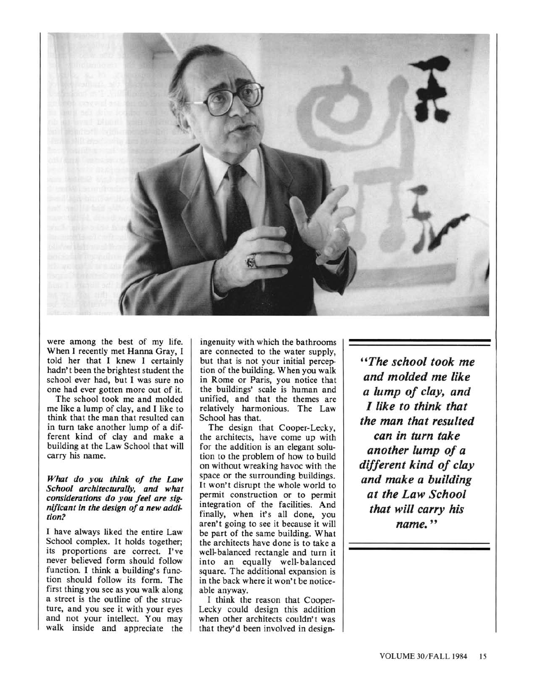

were among the best of my life. When I recently met Hanna Gray, I told her that I knew I certainly hadn't been the brightest student the school ever had, but I was sure no one had ever gotten more out of it.

The school took me and molded me like <sup>a</sup> lump of clay, and I like to think that the man that resulted can in turn take another lump of <sup>a</sup> different kind of clay and make <sup>a</sup> building at the Law School that will carry his name.

## What do you think of the Law School architecturally, and what considerations do you feel are significant in the design of <sup>a</sup> new addition?

I have always liked the entire Law School complex. It holds together; its proportions are correct. I've never believed form should follow function. I think <sup>a</sup> building's function should follow its form. The first thing you see as you walk along a street is the outline of the structure, and you see it with your eyes and not your intellect. You may walk inside and appreciate the

ingenuity with which the bathrooms are connected to the water supply, but that is not your initial perception of the building. When you walk in Rome or Paris, you notice that the buildings' scale is human and unified, and that the themes are relatively harmonious. The Law School has that.

The design that Cooper-Lecky, the architects, have come up with for the addition is an elegant solution to the problem of how to build on without wreaking havoc with the space or the surrounding buildings. It won't disrupt the whole world to permit construction or to permit integration of the facilities. And finally, when it's all done, you aren't going to see it because it will be part of the same building. What the architects have done is to take a well-balanced rectangle and turn it into an equally well-balanced square. The additional expansion is in the back where it won't be noticeable anyway.

I think the reason that Cooper-Lecky could design this addition when other architects couldn't was that they'd been involved in design-

"The school took me and molded me like a lump of clay, and I like to think that the man that resulted can in turn take another lump of a different kind of clay and make a building at the Law School that will carry his name. "